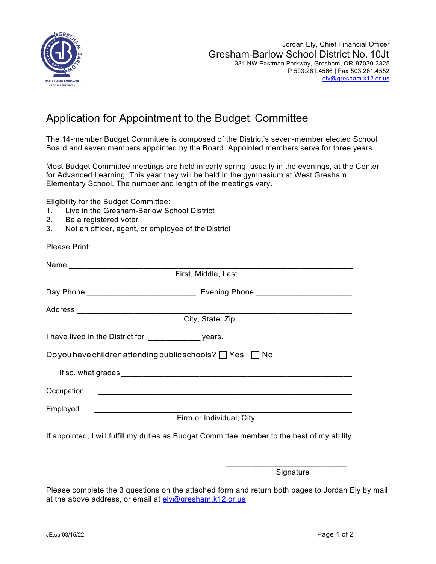

## Application for Appointment to the Budget Committee

The 14-member Budget Committee is composed of the District's seven-member elected School Board and seven members appointed by the Board. Appointed members serve for three years.

Most Budget Committee meetings are held in early spring, usually in the evenings, at the Center for Advanced Learning. This year they will be held in the gymnasium at West Gresham Elementary School. The number and length of the meetings vary.

Eligibility for the Budget Committee:

- 1. Live in the Gresham-Barlow School District
- 2. Be a registered voter
- 3. Not an officer, agent, or employee of the District

Please Print:

| First, Middle, Last                                                                                                              |
|----------------------------------------------------------------------------------------------------------------------------------|
|                                                                                                                                  |
|                                                                                                                                  |
| City, State, Zip                                                                                                                 |
|                                                                                                                                  |
| Do you have children attending public schools? $\Box$ Yes $\Box$ No                                                              |
|                                                                                                                                  |
|                                                                                                                                  |
| Employed<br><u> 1989 - Johann John Stein, markin fan it ferskearre fan it ferskearre fan it ferskearre fan it ferskearre fan</u> |
| Firm or Individual; City                                                                                                         |
| If appointed, I will fulfill my duties as Budget Committee member to the best of my ability.                                     |

**Signature** 

Please complete the 3 questions on the attached form and return both pages to Jordan Ely by mail at the above address, or email at  $e/v@$  gresham.k12.or.us